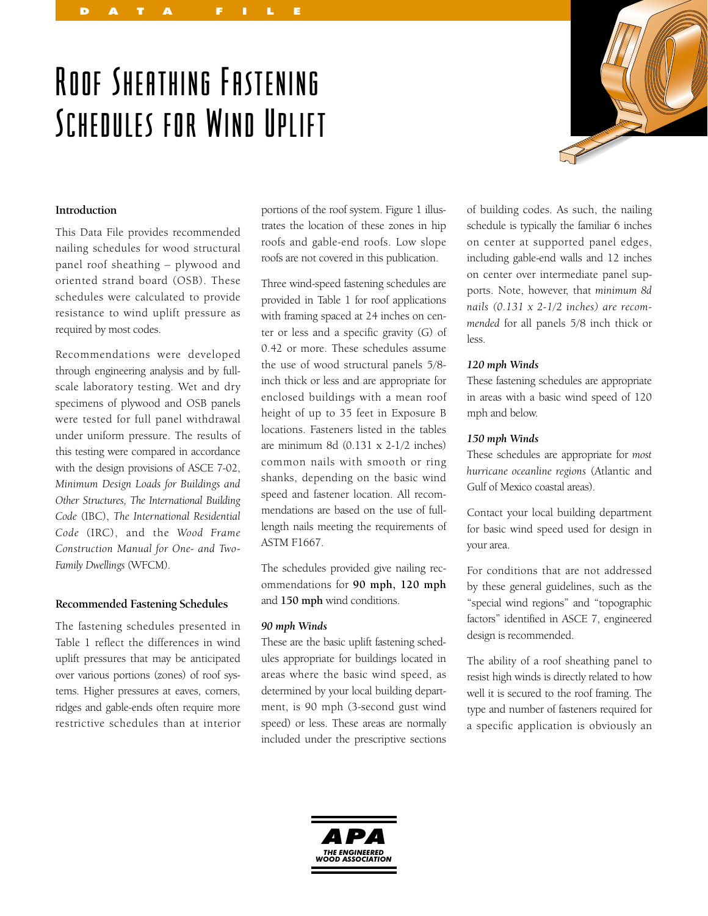# Roof Sheathing Fastening Schedules for Wind Uplift

DATA FILE



### **Introduction**

This Data File provides recommended nailing schedules for wood structural panel roof sheathing – plywood and oriented strand board (OSB). These schedules were calculated to provide resistance to wind uplift pressure as required by most codes.

Recommendations were developed through engineering analysis and by fullscale laboratory testing. Wet and dry specimens of plywood and OSB panels were tested for full panel withdrawal under uniform pressure. The results of this testing were compared in accordance with the design provisions of ASCE 7-02, *Minimum Design Loads for Buildings and Other Structures, The International Building Code* (IBC), *The International Residential Code* (IRC), and the *Wood Frame Construction Manual for One- and Two-Family Dwellings* (WFCM).

#### **Recommended Fastening Schedules**

The fastening schedules presented in Table 1 reflect the differences in wind uplift pressures that may be anticipated over various portions (zones) of roof systems. Higher pressures at eaves, corners, ridges and gable-ends often require more restrictive schedules than at interior

portions of the roof system. Figure 1 illustrates the location of these zones in hip roofs and gable-end roofs. Low slope roofs are not covered in this publication.

Three wind-speed fastening schedules are provided in Table 1 for roof applications with framing spaced at 24 inches on center or less and a specific gravity (G) of 0.42 or more. These schedules assume the use of wood structural panels 5/8 inch thick or less and are appropriate for enclosed buildings with a mean roof height of up to 35 feet in Exposure B locations. Fasteners listed in the tables are minimum 8d (0.131 x 2-1/2 inches) common nails with smooth or ring shanks, depending on the basic wind speed and fastener location. All recommendations are based on the use of fulllength nails meeting the requirements of ASTM F1667.

The schedules provided give nailing recommendations for **90 mph, 120 mph** and **150 mph** wind conditions.

#### *90 mph Winds*

These are the basic uplift fastening schedules appropriate for buildings located in areas where the basic wind speed, as determined by your local building department, is 90 mph (3-second gust wind speed) or less. These areas are normally included under the prescriptive sections of building codes. As such, the nailing schedule is typically the familiar 6 inches on center at supported panel edges, including gable-end walls and 12 inches on center over intermediate panel supports. Note, however, that *minimum 8d nails (0.131 x 2-1/2 inches) are recommended* for all panels 5/8 inch thick or less.

#### *120 mph Winds*

These fastening schedules are appropriate in areas with a basic wind speed of 120 mph and below.

#### *150 mph Winds*

These schedules are appropriate for *most hurricane oceanline regions* (Atlantic and Gulf of Mexico coastal areas).

Contact your local building department for basic wind speed used for design in your area.

For conditions that are not addressed by these general guidelines, such as the "special wind regions" and "topographic factors" identified in ASCE 7, engineered design is recommended.

The ability of a roof sheathing panel to resist high winds is directly related to how well it is secured to the roof framing. The type and number of fasteners required for a specific application is obviously an

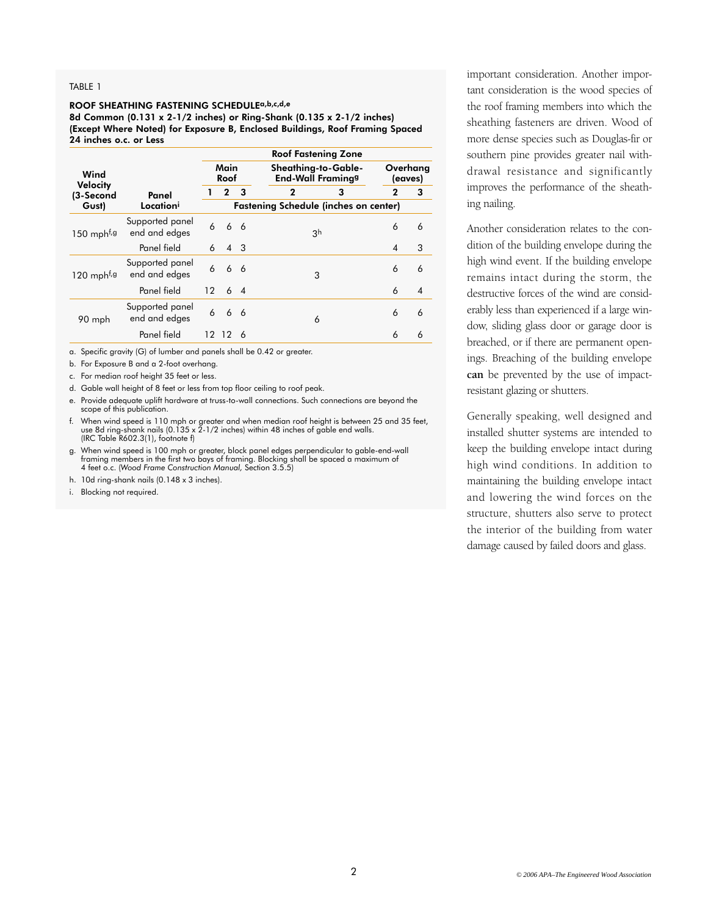#### TABLE 1

#### ROOF SHEATHING FASTENING SCHEDULEa,b,c,d,e

8d Common (0.131 x 2-1/2 inches) or Ring-Shank (0.135 x 2-1/2 inches) (Except Where Noted) for Exposure B, Enclosed Buildings, Roof Framing Spaced 24 inches o.c. or Less

| Wind<br><b>Velocity</b><br>(3-Second<br>Gust) | Panel<br>Location <sup>i</sup>   | <b>Roof Fastening Zone</b>                   |              |    |                                                            |                     |   |
|-----------------------------------------------|----------------------------------|----------------------------------------------|--------------|----|------------------------------------------------------------|---------------------|---|
|                                               |                                  | Main<br>Roof                                 |              |    | Sheathing-to-Gable-<br><b>End-Wall Framing<sup>g</sup></b> | Overhang<br>(eaves) |   |
|                                               |                                  |                                              | $\mathbf{2}$ | 3  | $\mathbf{2}$<br>3                                          | $\mathbf{2}$        | 3 |
|                                               |                                  | <b>Fastening Schedule (inches on center)</b> |              |    |                                                            |                     |   |
| $150$ mph <sup>f,g</sup>                      | Supported panel<br>end and edges | 6                                            |              | 66 | 3 <sup>h</sup>                                             | 6                   | 6 |
|                                               | Panel field                      | 6                                            | 4 3          |    |                                                            | 4                   | 3 |
| $120$ mph <sup>f,g</sup>                      | Supported panel<br>end and edges | 6                                            | 6            | 6  | 3                                                          | 6                   | 6 |
|                                               | Panel field                      | 12                                           |              | 64 |                                                            | 6                   | 4 |
| 90 mph                                        | Supported panel<br>end and edges | 6                                            |              | 66 | 6                                                          | 6                   | 6 |
|                                               | Panel field                      |                                              | 12 12        | 6  |                                                            | 6                   | 6 |

a. Specific gravity (G) of lumber and panels shall be 0.42 or greater.

b. For Exposure B and a 2-foot overhang.

c. For median roof height 35 feet or less.

d. Gable wall height of 8 feet or less from top floor ceiling to roof peak.

- e. Provide adequate uplift hardware at truss-to-wall connections. Such connections are beyond the scope of this publication.
- f. When wind speed is 110 mph or greater and when median roof height is between 25 and 35 feet, use 8d ring-shank nails (0.135 x  $2$ -1/2 inches) within 48 inches of gable end walls. (IRC Table R602.3(1), footnote f)
- g. When wind speed is 100 mph or greater, block panel edges perpendicular to gable-end-wall framing members in the first two bays of framing. Blocking shall be spaced a maximum of 4 feet o.c. (*Wood Frame Construction Manual,* Section 3.5.5)
- h. 10d ring-shank nails (0.148 x 3 inches).
- i. Blocking not required.

important consideration. Another important consideration is the wood species of the roof framing members into which the sheathing fasteners are driven. Wood of more dense species such as Douglas-fir or southern pine provides greater nail withdrawal resistance and significantly improves the performance of the sheathing nailing.

Another consideration relates to the condition of the building envelope during the high wind event. If the building envelope remains intact during the storm, the destructive forces of the wind are considerably less than experienced if a large window, sliding glass door or garage door is breached, or if there are permanent openings. Breaching of the building envelope **can** be prevented by the use of impactresistant glazing or shutters.

Generally speaking, well designed and installed shutter systems are intended to keep the building envelope intact during high wind conditions. In addition to maintaining the building envelope intact and lowering the wind forces on the structure, shutters also serve to protect the interior of the building from water damage caused by failed doors and glass.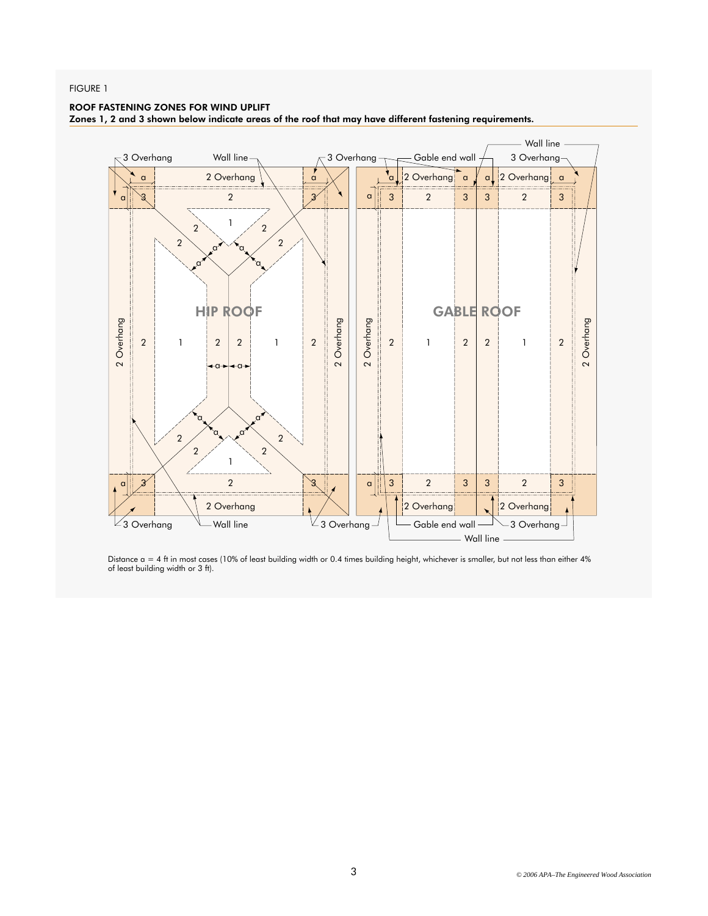#### FIGURE 1

#### ROOF FASTENING ZONES FOR WIND UPLIFT

Zones 1, 2 and 3 shown below indicate areas of the roof that may have different fastening requirements.



Distance a = 4 ft in most cases (10% of least building width or 0.4 times building height, whichever is smaller, but not less than either 4%<br>of least building width or 3 ft).